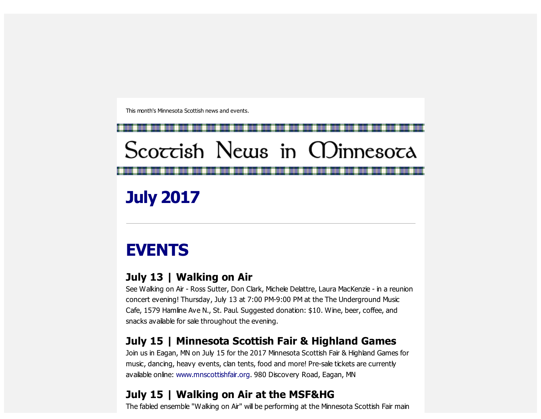This month's Minnesota Scottish news and events.

Scoccish News in CDinnesoca

July 2017

## EVENTS

### July 13 | Walking on Air

See Walking on Air - Ross Sutter, Don Clark, Michele Delattre, Laura MacKenzie - in a reunion concert evening! Thursday, July 13 at 7:00 PM-9:00 PM at the The Underground Music Cafe, 1579 Hamline Ave N., St. Paul. Suggested donation: \$10. Wine, beer, coffee, and snacks available for sale throughout the evening.

## July 15 | Minnesota Scottish Fair & Highland Games

Join us in Eagan, MN on July 15 for the 2017 Minnesota Scottish Fair & Highland Games for music, dancing, heavy events, clan tents, food and more! Pre-sale tickets are currently available online: [www.mnscottishfair.org.](http://scottishamericancentermn.us10.list-manage1.com/track/click?u=2fe4099001736ac4b948473e4&id=75b58568e2&e=6b0ba04b53) 980 Discovery Road, Eagan, MN

## July 15 | Walking on Air at the MSF&HG

The fabled ensemble "Walking on Air" will be performing at the Minnesota Scottish Fair main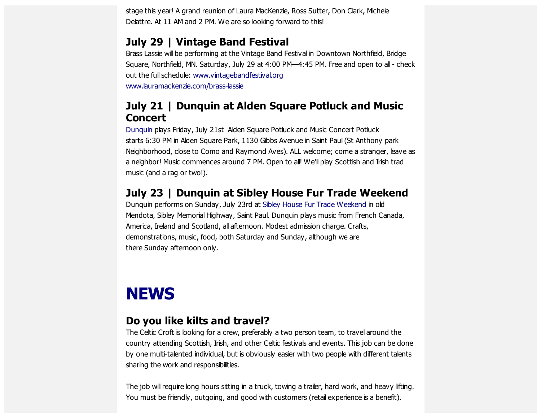stage this year! A grand reunion of Laura MacKenzie, Ross Sutter, Don Clark, Michele Delattre. At 11 AM and 2 PM. We are so looking forward to this!

#### July 29 | Vintage Band Festival

Brass Lassie will be performing at the Vintage Band Festival in Downtown Northfield, Bridge Square, Northfield, MN. Saturday, July 29 at 4:00 PM—4:45 PM. Free and open to all - check out the full schedule: [www.vintagebandfestival.org](http://scottishamericancentermn.us10.list-manage1.com/track/click?u=2fe4099001736ac4b948473e4&id=dde2ab6a23&e=6b0ba04b53) [www.lauramackenzie.com/brass-lassie](http://scottishamericancentermn.us10.list-manage1.com/track/click?u=2fe4099001736ac4b948473e4&id=2b7858ba51&e=6b0ba04b53)

#### July 21 | Dunquin at Alden Square Potluck and Music **Concert**

[Dunquin](http://scottishamericancentermn.us10.list-manage.com/track/click?u=2fe4099001736ac4b948473e4&id=e5a25c050f&e=6b0ba04b53) plays Friday, July 21st Alden Square Potluck and Music Concert Potluck starts 6:30 PM in Alden Square Park, 1130 Gibbs Avenue in Saint Paul (St Anthony park Neighborhood, close to Como and Raymond Aves). ALL welcome; come a stranger, leave as a neighbor! Music commences around 7 PM. Open to all! We'll play Scottish and Irish trad music (and a rag or two!).

#### July 23 | Dunquin at Sibley House Fur Trade Weekend

Dunquin performs on Sunday, July 23rd at Sibley House Fur Trade [Weekend](http://scottishamericancentermn.us10.list-manage1.com/track/click?u=2fe4099001736ac4b948473e4&id=53bd8c095d&e=6b0ba04b53) in old Mendota, Sibley Memorial Highway, Saint Paul. Dunquin plays music from French Canada, America, Ireland and Scotland, all afternoon. Modest admission charge. Crafts, demonstrations, music, food, both Saturday and Sunday, although we are there Sunday afternoon only.

# **NEWS**

#### Do you like kilts and travel?

The Celtic Croft is looking for a crew, preferably a two person team, to travel around the country attending Scottish, Irish, and other Celtic festivals and events. This job can be done by one multi-talented individual, but is obviously easier with two people with different talents sharing the work and responsibilities.

The job will require long hours sitting in a truck, towing a trailer, hard work, and heavy lifting. You must be friendly, outgoing, and good with customers (retail experience is a benefit).